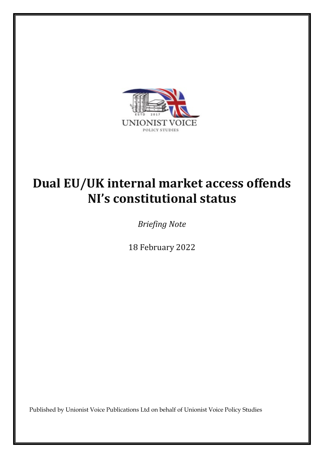

# **Dual EU/UK internal market access offends NI's constitutional status**

*Briefing Note*

18 February 2022

Published by Unionist Voice Publications Ltd on behalf of Unionist Voice Policy Studies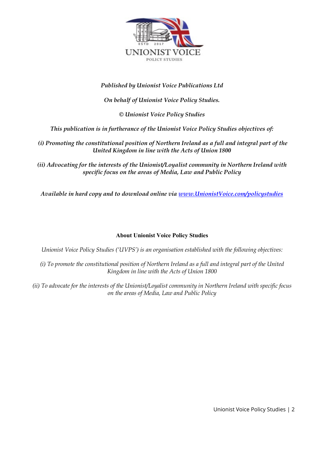

#### *Published by Unionist Voice Publications Ltd*

#### *On behalf of Unionist Voice Policy Studies.*

*© Unionist Voice Policy Studies*

*This publication is in furtherance of the Unionist Voice Policy Studies objectives of:* 

*(i) Promoting the constitutional position of Northern Ireland as a full and integral part of the United Kingdom in line with the Acts of Union 1800*

*(ii) Advocating for the interests of the Unionist/Loyalist community in Northern Ireland with specific focus on the areas of Media, Law and Public Policy*

*Available in hard copy and to download online via [www.UnionistVoice.com/policystudies](http://www.unionistvoice.com/policystudies)*

#### **About Unionist Voice Policy Studies**

*Unionist Voice Policy Studies ('UVPS') is an organisation established with the following objectives:* 

*(i) To promote the constitutional position of Northern Ireland as a full and integral part of the United Kingdom in line with the Acts of Union 1800*

*(ii) To advocate for the interests of the Unionist/Loyalist community in Northern Ireland with specific focus on the areas of Media, Law and Public Policy*

Unionist Voice Policy Studies | 2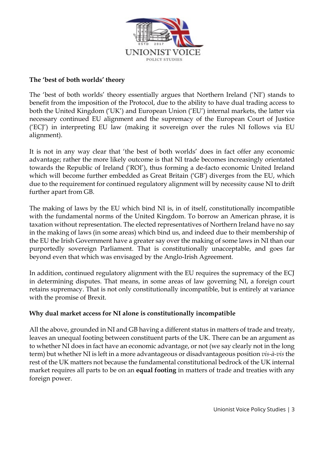

### **The 'best of both worlds' theory**

The 'best of both worlds' theory essentially argues that Northern Ireland ('NI') stands to benefit from the imposition of the Protocol, due to the ability to have dual trading access to both the United Kingdom ('UK') and European Union ('EU') internal markets, the latter via necessary continued EU alignment and the supremacy of the European Court of Justice ('ECJ') in interpreting EU law (making it sovereign over the rules NI follows via EU alignment).

It is not in any way clear that 'the best of both worlds' does in fact offer any economic advantage; rather the more likely outcome is that NI trade becomes increasingly orientated towards the Republic of Ireland ('ROI'), thus forming a de-facto economic United Ireland which will become further embedded as Great Britain ('GB') diverges from the EU, which due to the requirement for continued regulatory alignment will by necessity cause NI to drift further apart from GB.

The making of laws by the EU which bind NI is, in of itself, constitutionally incompatible with the fundamental norms of the United Kingdom. To borrow an American phrase, it is taxation without representation. The elected representatives of Northern Ireland have no say in the making of laws (in some areas) which bind us, and indeed due to their membership of the EU the Irish Government have a greater say over the making of some laws in NI than our purportedly sovereign Parliament. That is constitutionally unacceptable, and goes far beyond even that which was envisaged by the Anglo-Irish Agreement.

In addition, continued regulatory alignment with the EU requires the supremacy of the ECJ in determining disputes. That means, in some areas of law governing NI, a foreign court retains supremacy. That is not only constitutionally incompatible, but is entirely at variance with the promise of Brexit.

## **Why dual market access for NI alone is constitutionally incompatible**

All the above, grounded in NI and GB having a different status in matters of trade and treaty, leaves an unequal footing between constituent parts of the UK. There can be an argument as to whether NI does in fact have an economic advantage, or not (we say clearly not in the long term) but whether NI is left in a more advantageous or disadvantageous position *vis-à-vis* the rest of the UK matters not because the fundamental constitutional bedrock of the UK internal market requires all parts to be on an **equal footing** in matters of trade and treaties with any foreign power.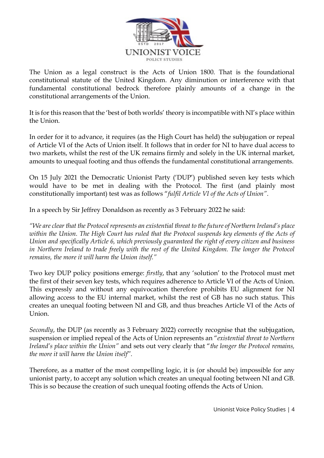

The Union as a legal construct is the Acts of Union 1800. That is the foundational constitutional statute of the United Kingdom. Any diminution or interference with that fundamental constitutional bedrock therefore plainly amounts of a change in the constitutional arrangements of the Union.

It is for this reason that the 'best of both worlds' theory is incompatible with NI's place within the Union.

In order for it to advance, it requires (as the High Court has held) the subjugation or repeal of Article VI of the Acts of Union itself. It follows that in order for NI to have dual access to two markets, whilst the rest of the UK remains firmly and solely in the UK internal market, amounts to unequal footing and thus offends the fundamental constitutional arrangements.

On 15 July 2021 the Democratic Unionist Party ('DUP') published seven key tests which would have to be met in dealing with the Protocol. The first (and plainly most constitutionally important) test was as follows "*fulfil Article VI of the Acts of Union"*.

In a speech by Sir Jeffrey Donaldson as recently as 3 February 2022 he said:

*"We are clear that the Protocol represents an existential threat to the future of Northern Ireland's place within the Union. The High Court has ruled that the Protocol suspends key elements of the Acts of Union and specifically Article 6, which previously guaranteed the right of every citizen and business in Northern Ireland to trade freely with the rest of the United Kingdom. The longer the Protocol remains, the more it will harm the Union itself."*

Two key DUP policy positions emerge: *firstly*, that any 'solution' to the Protocol must met the first of their seven key tests, which requires adherence to Article VI of the Acts of Union. This expressly and without any equivocation therefore prohibits EU alignment for NI allowing access to the EU internal market, whilst the rest of GB has no such status. This creates an unequal footing between NI and GB, and thus breaches Article VI of the Acts of Union.

*Secondly*, the DUP (as recently as 3 February 2022) correctly recognise that the subjugation, suspension or implied repeal of the Acts of Union represents an "*existential threat to Northern Ireland's place within the Union"* and sets out very clearly that "*the longer the Protocol remains, the more it will harm the Union itself".* 

Therefore, as a matter of the most compelling logic, it is (or should be) impossible for any unionist party, to accept any solution which creates an unequal footing between NI and GB. This is so because the creation of such unequal footing offends the Acts of Union.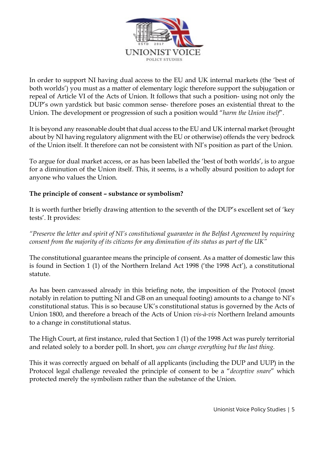

In order to support NI having dual access to the EU and UK internal markets (the 'best of both worlds') you must as a matter of elementary logic therefore support the subjugation or repeal of Article VI of the Acts of Union. It follows that such a position- using not only the DUP's own yardstick but basic common sense- therefore poses an existential threat to the Union. The development or progression of such a position would "*harm the Union itself*".

It is beyond any reasonable doubt that dual access to the EU and UK internal market (brought about by NI having regulatory alignment with the EU or otherwise) offends the very bedrock of the Union itself. It therefore can not be consistent with NI's position as part of the Union.

To argue for dual market access, or as has been labelled the 'best of both worlds', is to argue for a diminution of the Union itself. This, it seems, is a wholly absurd position to adopt for anyone who values the Union.

## **The principle of consent – substance or symbolism?**

It is worth further briefly drawing attention to the seventh of the DUP's excellent set of 'key tests'. It provides:

*"Preserve the letter and spirit of NI's constitutional guarantee in the Belfast Agreement by requiring consent from the majority of its citizens for any diminution of its status as part of the UK"*

The constitutional guarantee means the principle of consent. As a matter of domestic law this is found in Section 1 (1) of the Northern Ireland Act 1998 ('the 1998 Act'), a constitutional statute.

As has been canvassed already in this briefing note, the imposition of the Protocol (most notably in relation to putting NI and GB on an unequal footing) amounts to a change to NI's constitutional status. This is so because UK's constitutional status is governed by the Acts of Union 1800, and therefore a breach of the Acts of Union *vis-à-vis* Northern Ireland amounts to a change in constitutional status.

The High Court, at first instance, ruled that Section 1 (1) of the 1998 Act was purely territorial and related solely to a border poll. In short, *you can change everything but the last thing.* 

This it was correctly argued on behalf of all applicants (including the DUP and UUP) in the Protocol legal challenge revealed the principle of consent to be a "*deceptive snare*" which protected merely the symbolism rather than the substance of the Union.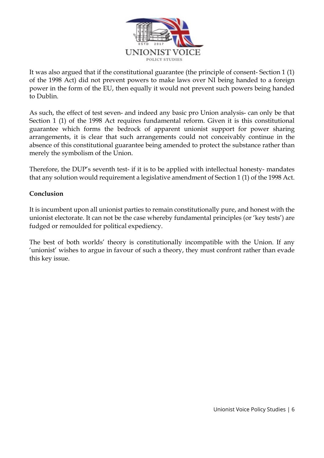

It was also argued that if the constitutional guarantee (the principle of consent- Section 1 (1) of the 1998 Act) did not prevent powers to make laws over NI being handed to a foreign power in the form of the EU, then equally it would not prevent such powers being handed to Dublin.

As such, the effect of test seven- and indeed any basic pro Union analysis- can only be that Section 1 (1) of the 1998 Act requires fundamental reform. Given it is this constitutional guarantee which forms the bedrock of apparent unionist support for power sharing arrangements, it is clear that such arrangements could not conceivably continue in the absence of this constitutional guarantee being amended to protect the substance rather than merely the symbolism of the Union.

Therefore, the DUP's seventh test- if it is to be applied with intellectual honesty- mandates that any solution would requirement a legislative amendment of Section 1 (1) of the 1998 Act.

#### **Conclusion**

It is incumbent upon all unionist parties to remain constitutionally pure, and honest with the unionist electorate. It can not be the case whereby fundamental principles (or 'key tests') are fudged or remoulded for political expediency.

The best of both worlds' theory is constitutionally incompatible with the Union. If any 'unionist' wishes to argue in favour of such a theory, they must confront rather than evade this key issue.